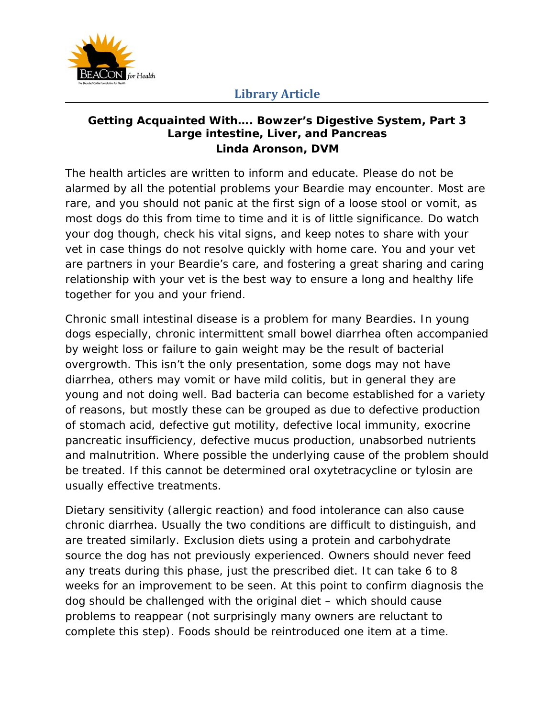

#### **Getting Acquainted With…. Bowzer's Digestive System, Part 3 Large intestine, Liver, and Pancreas Linda Aronson, DVM**

The health articles are written to inform and educate. Please do not be alarmed by all the potential problems your Beardie may encounter. Most are rare, and you should not panic at the first sign of a loose stool or vomit, as most dogs do this from time to time and it is of little significance. Do watch your dog though, check his vital signs, and keep notes to share with your vet in case things do not resolve quickly with home care. You and your vet are partners in your Beardie's care, and fostering a great sharing and caring relationship with your vet is the best way to ensure a long and healthy life together for you and your friend.

Chronic small intestinal disease is a problem for many Beardies. In young dogs especially, chronic intermittent small bowel diarrhea often accompanied by weight loss or failure to gain weight may be the result of bacterial overgrowth. This isn't the only presentation, some dogs may not have diarrhea, others may vomit or have mild colitis, but in general they are young and not doing well. Bad bacteria can become established for a variety of reasons, but mostly these can be grouped as due to defective production of stomach acid, defective gut motility, defective local immunity, exocrine pancreatic insufficiency, defective mucus production, unabsorbed nutrients and malnutrition. Where possible the underlying cause of the problem should be treated. If this cannot be determined oral oxytetracycline or tylosin are usually effective treatments.

Dietary sensitivity (allergic reaction) and food intolerance can also cause chronic diarrhea. Usually the two conditions are difficult to distinguish, and are treated similarly. Exclusion diets using a protein and carbohydrate source the dog has not previously experienced. Owners should never feed any treats during this phase, just the prescribed diet. It can take 6 to 8 weeks for an improvement to be seen. At this point to confirm diagnosis the dog should be challenged with the original diet – which should cause problems to reappear (not surprisingly many owners are reluctant to complete this step). Foods should be reintroduced one item at a time.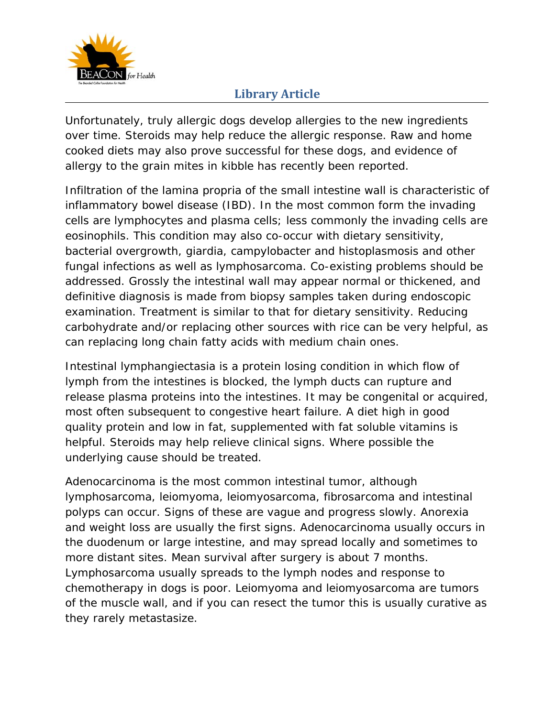

Unfortunately, truly allergic dogs develop allergies to the new ingredients over time. Steroids may help reduce the allergic response. Raw and home cooked diets may also prove successful for these dogs, and evidence of allergy to the grain mites in kibble has recently been reported.

Infiltration of the lamina propria of the small intestine wall is characteristic of inflammatory bowel disease (IBD). In the most common form the invading cells are lymphocytes and plasma cells; less commonly the invading cells are eosinophils. This condition may also co-occur with dietary sensitivity, bacterial overgrowth, giardia, campylobacter and histoplasmosis and other fungal infections as well as lymphosarcoma. Co-existing problems should be addressed. Grossly the intestinal wall may appear normal or thickened, and definitive diagnosis is made from biopsy samples taken during endoscopic examination. Treatment is similar to that for dietary sensitivity. Reducing carbohydrate and/or replacing other sources with rice can be very helpful, as can replacing long chain fatty acids with medium chain ones.

Intestinal lymphangiectasia is a protein losing condition in which flow of lymph from the intestines is blocked, the lymph ducts can rupture and release plasma proteins into the intestines. It may be congenital or acquired, most often subsequent to congestive heart failure. A diet high in good quality protein and low in fat, supplemented with fat soluble vitamins is helpful. Steroids may help relieve clinical signs. Where possible the underlying cause should be treated.

Adenocarcinoma is the most common intestinal tumor, although lymphosarcoma, leiomyoma, leiomyosarcoma, fibrosarcoma and intestinal polyps can occur. Signs of these are vague and progress slowly. Anorexia and weight loss are usually the first signs. Adenocarcinoma usually occurs in the duodenum or large intestine, and may spread locally and sometimes to more distant sites. Mean survival after surgery is about 7 months. Lymphosarcoma usually spreads to the lymph nodes and response to chemotherapy in dogs is poor. Leiomyoma and leiomyosarcoma are tumors of the muscle wall, and if you can resect the tumor this is usually curative as they rarely metastasize.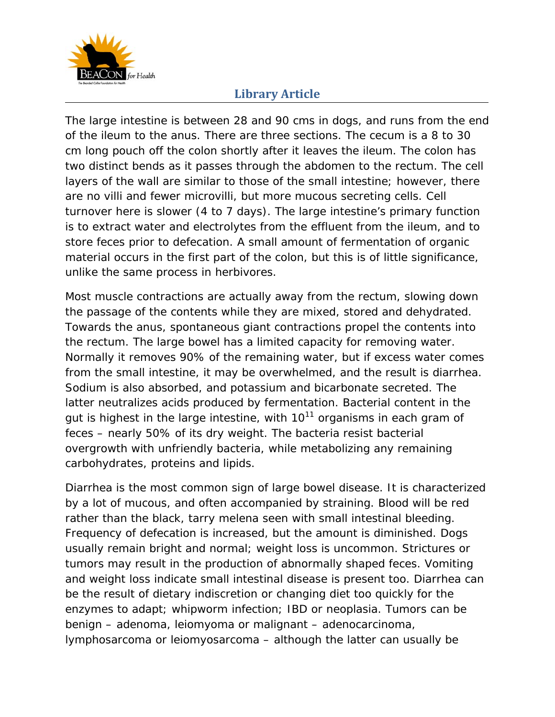

The large intestine is between 28 and 90 cms in dogs, and runs from the end of the ileum to the anus. There are three sections. The cecum is a 8 to 30 cm long pouch off the colon shortly after it leaves the ileum. The colon has two distinct bends as it passes through the abdomen to the rectum. The cell layers of the wall are similar to those of the small intestine; however, there are no villi and fewer microvilli, but more mucous secreting cells. Cell turnover here is slower (4 to 7 days). The large intestine's primary function is to extract water and electrolytes from the effluent from the ileum, and to store feces prior to defecation. A small amount of fermentation of organic material occurs in the first part of the colon, but this is of little significance, unlike the same process in herbivores.

Most muscle contractions are actually away from the rectum, slowing down the passage of the contents while they are mixed, stored and dehydrated. Towards the anus, spontaneous giant contractions propel the contents into the rectum. The large bowel has a limited capacity for removing water. Normally it removes 90% of the remaining water, but if excess water comes from the small intestine, it may be overwhelmed, and the result is diarrhea. Sodium is also absorbed, and potassium and bicarbonate secreted. The latter neutralizes acids produced by fermentation. Bacterial content in the gut is highest in the large intestine, with  $10^{11}$  organisms in each gram of feces – nearly 50% of its dry weight. The bacteria resist bacterial overgrowth with unfriendly bacteria, while metabolizing any remaining carbohydrates, proteins and lipids.

Diarrhea is the most common sign of large bowel disease. It is characterized by a lot of mucous, and often accompanied by straining. Blood will be red rather than the black, tarry melena seen with small intestinal bleeding. Frequency of defecation is increased, but the amount is diminished. Dogs usually remain bright and normal; weight loss is uncommon. Strictures or tumors may result in the production of abnormally shaped feces. Vomiting and weight loss indicate small intestinal disease is present too. Diarrhea can be the result of dietary indiscretion or changing diet too quickly for the enzymes to adapt; whipworm infection; IBD or neoplasia. Tumors can be benign – adenoma, leiomyoma or malignant – adenocarcinoma, lymphosarcoma or leiomyosarcoma – although the latter can usually be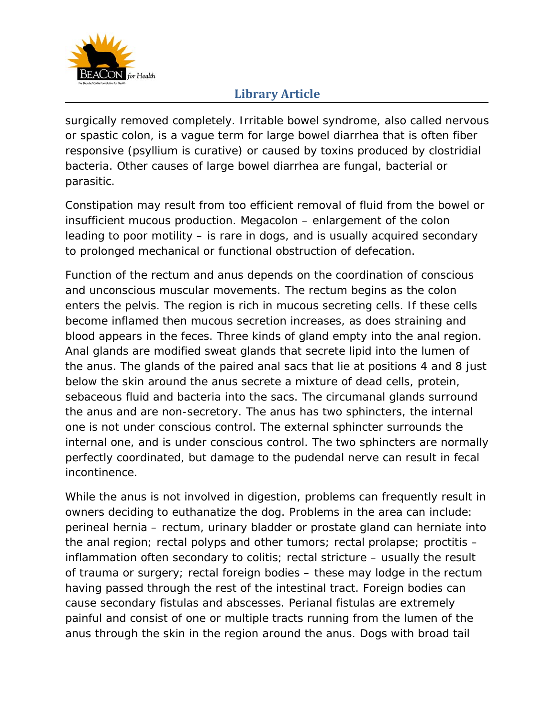

surgically removed completely. Irritable bowel syndrome, also called nervous or spastic colon, is a vague term for large bowel diarrhea that is often fiber responsive (psyllium is curative) or caused by toxins produced by clostridial bacteria. Other causes of large bowel diarrhea are fungal, bacterial or parasitic.

Constipation may result from too efficient removal of fluid from the bowel or insufficient mucous production. Megacolon – enlargement of the colon leading to poor motility – is rare in dogs, and is usually acquired secondary to prolonged mechanical or functional obstruction of defecation.

Function of the rectum and anus depends on the coordination of conscious and unconscious muscular movements. The rectum begins as the colon enters the pelvis. The region is rich in mucous secreting cells. If these cells become inflamed then mucous secretion increases, as does straining and blood appears in the feces. Three kinds of gland empty into the anal region. Anal glands are modified sweat glands that secrete lipid into the lumen of the anus. The glands of the paired anal sacs that lie at positions 4 and 8 just below the skin around the anus secrete a mixture of dead cells, protein, sebaceous fluid and bacteria into the sacs. The circumanal glands surround the anus and are non-secretory. The anus has two sphincters, the internal one is not under conscious control. The external sphincter surrounds the internal one, and is under conscious control. The two sphincters are normally perfectly coordinated, but damage to the pudendal nerve can result in fecal incontinence.

While the anus is not involved in digestion, problems can frequently result in owners deciding to euthanatize the dog. Problems in the area can include: perineal hernia – rectum, urinary bladder or prostate gland can herniate into the anal region; rectal polyps and other tumors; rectal prolapse; proctitis – inflammation often secondary to colitis; rectal stricture – usually the result of trauma or surgery; rectal foreign bodies – these may lodge in the rectum having passed through the rest of the intestinal tract. Foreign bodies can cause secondary fistulas and abscesses. Perianal fistulas are extremely painful and consist of one or multiple tracts running from the lumen of the anus through the skin in the region around the anus. Dogs with broad tail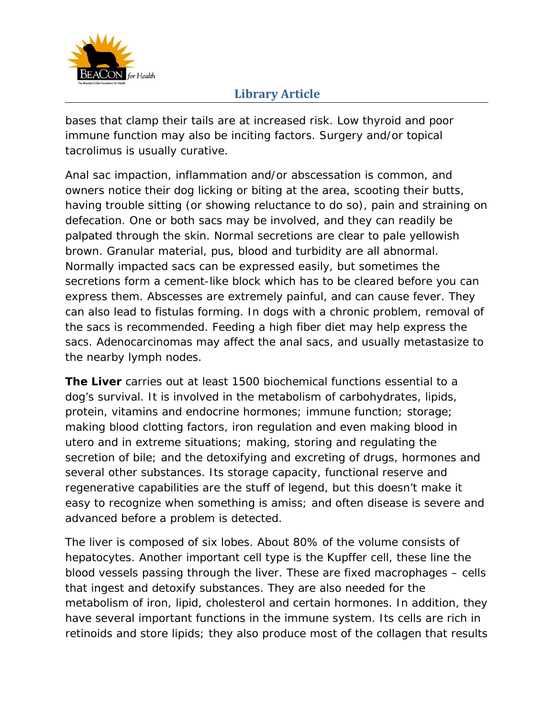

bases that clamp their tails are at increased risk. Low thyroid and poor immune function may also be inciting factors. Surgery and/or topical tacrolimus is usually curative.

Anal sac impaction, inflammation and/or abscessation is common, and owners notice their dog licking or biting at the area, scooting their butts, having trouble sitting (or showing reluctance to do so), pain and straining on defecation. One or both sacs may be involved, and they can readily be palpated through the skin. Normal secretions are clear to pale yellowish brown. Granular material, pus, blood and turbidity are all abnormal. Normally impacted sacs can be expressed easily, but sometimes the secretions form a cement-like block which has to be cleared before you can express them. Abscesses are extremely painful, and can cause fever. They can also lead to fistulas forming. In dogs with a chronic problem, removal of the sacs is recommended. Feeding a high fiber diet may help express the sacs. Adenocarcinomas may affect the anal sacs, and usually metastasize to the nearby lymph nodes.

**The Liver** carries out at least 1500 biochemical functions essential to a dog's survival. It is involved in the metabolism of carbohydrates, lipids, protein, vitamins and endocrine hormones; immune function; storage; making blood clotting factors, iron regulation and even making blood in utero and in extreme situations; making, storing and regulating the secretion of bile; and the detoxifying and excreting of drugs, hormones and several other substances. Its storage capacity, functional reserve and regenerative capabilities are the stuff of legend, but this doesn't make it easy to recognize when something is amiss; and often disease is severe and advanced before a problem is detected.

The liver is composed of six lobes. About 80% of the volume consists of hepatocytes. Another important cell type is the Kupffer cell, these line the blood vessels passing through the liver. These are fixed macrophages – cells that ingest and detoxify substances. They are also needed for the metabolism of iron, lipid, cholesterol and certain hormones. In addition, they have several important functions in the immune system. Its cells are rich in retinoids and store lipids; they also produce most of the collagen that results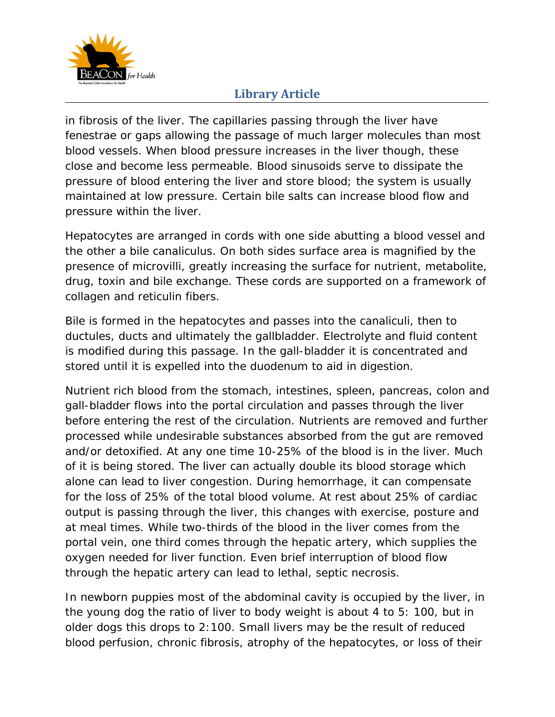

in fibrosis of the liver. The capillaries passing through the liver have fenestrae or gaps allowing the passage of much larger molecules than most blood vessels. When blood pressure increases in the liver though, these close and become less permeable. Blood sinusoids serve to dissipate the pressure of blood entering the liver and store blood; the system is usually maintained at low pressure. Certain bile salts can increase blood flow and pressure within the liver.

Hepatocytes are arranged in cords with one side abutting a blood vessel and the other a bile canaliculus. On both sides surface area is magnified by the presence of microvilli, greatly increasing the surface for nutrient, metabolite, drug, toxin and bile exchange. These cords are supported on a framework of collagen and reticulin fibers.

Bile is formed in the hepatocytes and passes into the canaliculi, then to ductules, ducts and ultimately the gallbladder. Electrolyte and fluid content is modified during this passage. In the gall-bladder it is concentrated and stored until it is expelled into the duodenum to aid in digestion.

Nutrient rich blood from the stomach, intestines, spleen, pancreas, colon and gall-bladder flows into the portal circulation and passes through the liver before entering the rest of the circulation. Nutrients are removed and further processed while undesirable substances absorbed from the gut are removed and/or detoxified. At any one time 10-25% of the blood is in the liver. Much of it is being stored. The liver can actually double its blood storage which alone can lead to liver congestion. During hemorrhage, it can compensate for the loss of 25% of the total blood volume. At rest about 25% of cardiac output is passing through the liver, this changes with exercise, posture and at meal times. While two-thirds of the blood in the liver comes from the portal vein, one third comes through the hepatic artery, which supplies the oxygen needed for liver function. Even brief interruption of blood flow through the hepatic artery can lead to lethal, septic necrosis.

In newborn puppies most of the abdominal cavity is occupied by the liver, in the young dog the ratio of liver to body weight is about 4 to 5: 100, but in older dogs this drops to 2:100. Small livers may be the result of reduced blood perfusion, chronic fibrosis, atrophy of the hepatocytes, or loss of their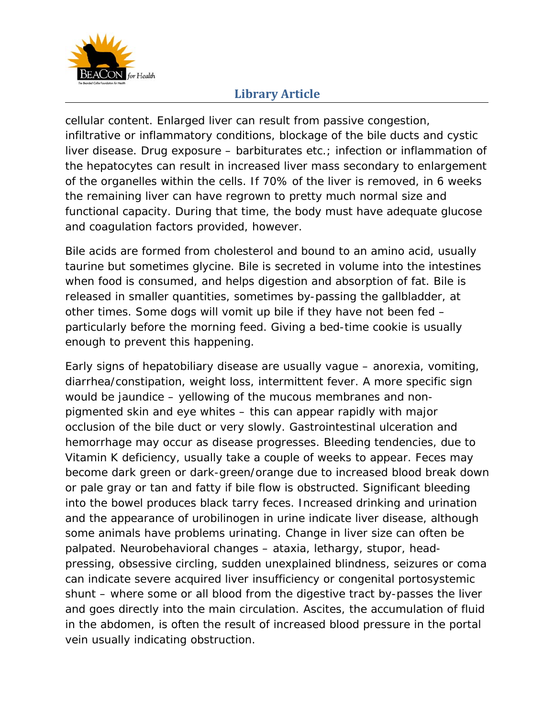

cellular content. Enlarged liver can result from passive congestion, infiltrative or inflammatory conditions, blockage of the bile ducts and cystic liver disease. Drug exposure – barbiturates etc.; infection or inflammation of the hepatocytes can result in increased liver mass secondary to enlargement of the organelles within the cells. If 70% of the liver is removed, in 6 weeks the remaining liver can have regrown to pretty much normal size and functional capacity. During that time, the body must have adequate glucose and coagulation factors provided, however.

Bile acids are formed from cholesterol and bound to an amino acid, usually taurine but sometimes glycine. Bile is secreted in volume into the intestines when food is consumed, and helps digestion and absorption of fat. Bile is released in smaller quantities, sometimes by-passing the gallbladder, at other times. Some dogs will vomit up bile if they have not been fed – particularly before the morning feed. Giving a bed-time cookie is usually enough to prevent this happening.

Early signs of hepatobiliary disease are usually vague – anorexia, vomiting, diarrhea/constipation, weight loss, intermittent fever. A more specific sign would be jaundice – yellowing of the mucous membranes and nonpigmented skin and eye whites – this can appear rapidly with major occlusion of the bile duct or very slowly. Gastrointestinal ulceration and hemorrhage may occur as disease progresses. Bleeding tendencies, due to Vitamin K deficiency, usually take a couple of weeks to appear. Feces may become dark green or dark-green/orange due to increased blood break down or pale gray or tan and fatty if bile flow is obstructed. Significant bleeding into the bowel produces black tarry feces. Increased drinking and urination and the appearance of urobilinogen in urine indicate liver disease, although some animals have problems urinating. Change in liver size can often be palpated. Neurobehavioral changes – ataxia, lethargy, stupor, headpressing, obsessive circling, sudden unexplained blindness, seizures or coma can indicate severe acquired liver insufficiency or congenital portosystemic shunt – where some or all blood from the digestive tract by-passes the liver and goes directly into the main circulation. Ascites, the accumulation of fluid in the abdomen, is often the result of increased blood pressure in the portal vein usually indicating obstruction.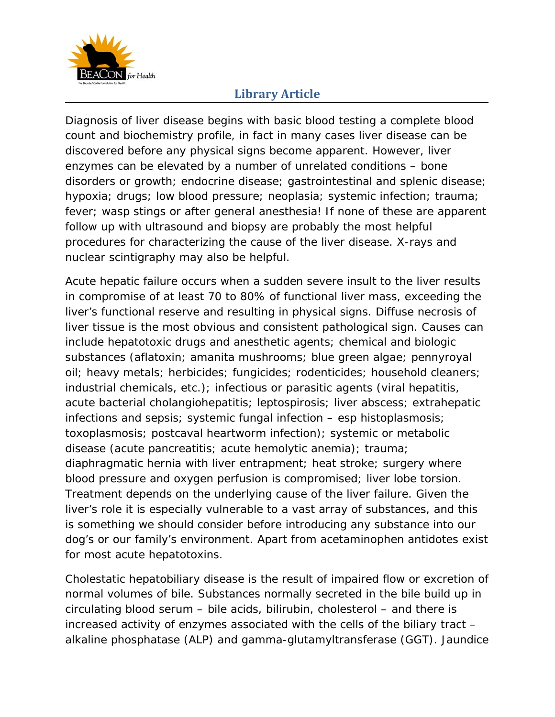

Diagnosis of liver disease begins with basic blood testing a complete blood count and biochemistry profile, in fact in many cases liver disease can be discovered before any physical signs become apparent. However, liver enzymes can be elevated by a number of unrelated conditions – bone disorders or growth; endocrine disease; gastrointestinal and splenic disease; hypoxia; drugs; low blood pressure; neoplasia; systemic infection; trauma; fever; wasp stings or after general anesthesia! If none of these are apparent follow up with ultrasound and biopsy are probably the most helpful procedures for characterizing the cause of the liver disease. X-rays and nuclear scintigraphy may also be helpful.

Acute hepatic failure occurs when a sudden severe insult to the liver results in compromise of at least 70 to 80% of functional liver mass, exceeding the liver's functional reserve and resulting in physical signs. Diffuse necrosis of liver tissue is the most obvious and consistent pathological sign. Causes can include hepatotoxic drugs and anesthetic agents; chemical and biologic substances (aflatoxin; amanita mushrooms; blue green algae; pennyroyal oil; heavy metals; herbicides; fungicides; rodenticides; household cleaners; industrial chemicals, etc.); infectious or parasitic agents (viral hepatitis, acute bacterial cholangiohepatitis; leptospirosis; liver abscess; extrahepatic infections and sepsis; systemic fungal infection – esp histoplasmosis; toxoplasmosis; postcaval heartworm infection); systemic or metabolic disease (acute pancreatitis; acute hemolytic anemia); trauma; diaphragmatic hernia with liver entrapment; heat stroke; surgery where blood pressure and oxygen perfusion is compromised; liver lobe torsion. Treatment depends on the underlying cause of the liver failure. Given the liver's role it is especially vulnerable to a vast array of substances, and this is something we should consider before introducing any substance into our dog's or our family's environment. Apart from acetaminophen antidotes exist for most acute hepatotoxins.

Cholestatic hepatobiliary disease is the result of impaired flow or excretion of normal volumes of bile. Substances normally secreted in the bile build up in circulating blood serum – bile acids, bilirubin, cholesterol – and there is increased activity of enzymes associated with the cells of the biliary tract – alkaline phosphatase (ALP) and gamma-glutamyltransferase (GGT). Jaundice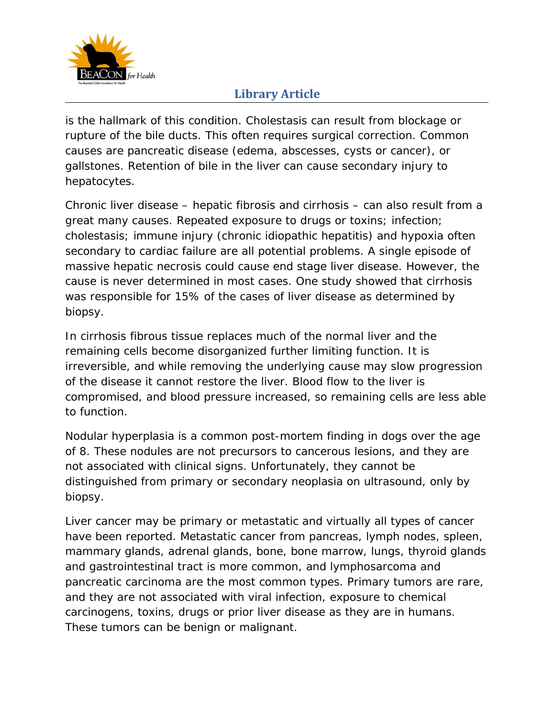

is the hallmark of this condition. Cholestasis can result from blockage or rupture of the bile ducts. This often requires surgical correction. Common causes are pancreatic disease (edema, abscesses, cysts or cancer), or gallstones. Retention of bile in the liver can cause secondary injury to hepatocytes.

Chronic liver disease – hepatic fibrosis and cirrhosis – can also result from a great many causes. Repeated exposure to drugs or toxins; infection; cholestasis; immune injury (chronic idiopathic hepatitis) and hypoxia often secondary to cardiac failure are all potential problems. A single episode of massive hepatic necrosis could cause end stage liver disease. However, the cause is never determined in most cases. One study showed that cirrhosis was responsible for 15% of the cases of liver disease as determined by biopsy.

In cirrhosis fibrous tissue replaces much of the normal liver and the remaining cells become disorganized further limiting function. It is irreversible, and while removing the underlying cause may slow progression of the disease it cannot restore the liver. Blood flow to the liver is compromised, and blood pressure increased, so remaining cells are less able to function.

Nodular hyperplasia is a common post-mortem finding in dogs over the age of 8. These nodules are not precursors to cancerous lesions, and they are not associated with clinical signs. Unfortunately, they cannot be distinguished from primary or secondary neoplasia on ultrasound, only by biopsy.

Liver cancer may be primary or metastatic and virtually all types of cancer have been reported. Metastatic cancer from pancreas, lymph nodes, spleen, mammary glands, adrenal glands, bone, bone marrow, lungs, thyroid glands and gastrointestinal tract is more common, and lymphosarcoma and pancreatic carcinoma are the most common types. Primary tumors are rare, and they are not associated with viral infection, exposure to chemical carcinogens, toxins, drugs or prior liver disease as they are in humans. These tumors can be benign or malignant.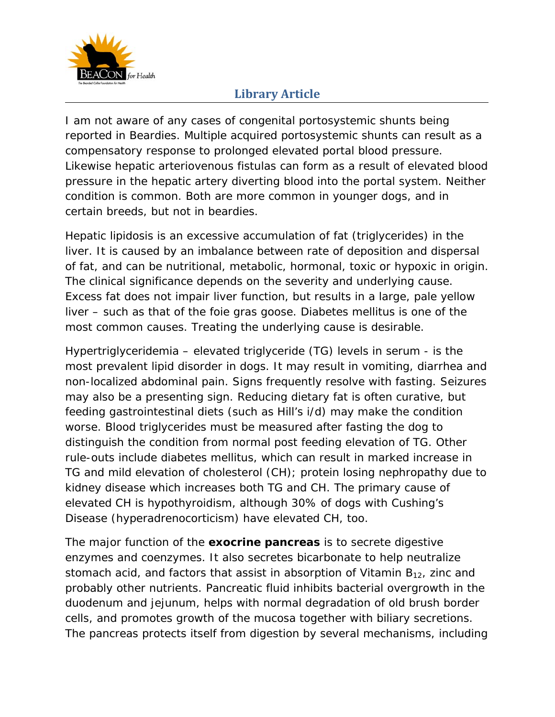

I am not aware of any cases of congenital portosystemic shunts being reported in Beardies. Multiple acquired portosystemic shunts can result as a compensatory response to prolonged elevated portal blood pressure. Likewise hepatic arteriovenous fistulas can form as a result of elevated blood pressure in the hepatic artery diverting blood into the portal system. Neither condition is common. Both are more common in younger dogs, and in certain breeds, but not in beardies.

Hepatic lipidosis is an excessive accumulation of fat (triglycerides) in the liver. It is caused by an imbalance between rate of deposition and dispersal of fat, and can be nutritional, metabolic, hormonal, toxic or hypoxic in origin. The clinical significance depends on the severity and underlying cause. Excess fat does not impair liver function, but results in a large, pale yellow liver – such as that of the foie gras goose. Diabetes mellitus is one of the most common causes. Treating the underlying cause is desirable.

Hypertriglyceridemia – elevated triglyceride (TG) levels in serum - is the most prevalent lipid disorder in dogs. It may result in vomiting, diarrhea and non-localized abdominal pain. Signs frequently resolve with fasting. Seizures may also be a presenting sign. Reducing dietary fat is often curative, but feeding gastrointestinal diets (such as Hill's i/d) may make the condition worse. Blood triglycerides must be measured after fasting the dog to distinguish the condition from normal post feeding elevation of TG. Other rule-outs include diabetes mellitus, which can result in marked increase in TG and mild elevation of cholesterol (CH); protein losing nephropathy due to kidney disease which increases both TG and CH. The primary cause of elevated CH is hypothyroidism, although 30% of dogs with Cushing's Disease (hyperadrenocorticism) have elevated CH, too.

The major function of the **exocrine pancreas** is to secrete digestive enzymes and coenzymes. It also secretes bicarbonate to help neutralize stomach acid, and factors that assist in absorption of Vitamin  $B_{12}$ , zinc and probably other nutrients. Pancreatic fluid inhibits bacterial overgrowth in the duodenum and jejunum, helps with normal degradation of old brush border cells, and promotes growth of the mucosa together with biliary secretions. The pancreas protects itself from digestion by several mechanisms, including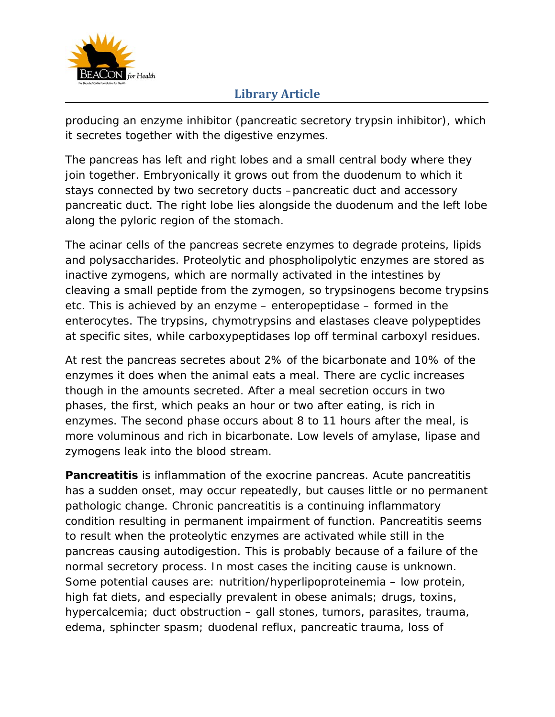

producing an enzyme inhibitor (pancreatic secretory trypsin inhibitor), which it secretes together with the digestive enzymes.

The pancreas has left and right lobes and a small central body where they join together. Embryonically it grows out from the duodenum to which it stays connected by two secretory ducts –pancreatic duct and accessory pancreatic duct. The right lobe lies alongside the duodenum and the left lobe along the pyloric region of the stomach.

The acinar cells of the pancreas secrete enzymes to degrade proteins, lipids and polysaccharides. Proteolytic and phospholipolytic enzymes are stored as inactive zymogens, which are normally activated in the intestines by cleaving a small peptide from the zymogen, so trypsinogens become trypsins etc. This is achieved by an enzyme – enteropeptidase – formed in the enterocytes. The trypsins, chymotrypsins and elastases cleave polypeptides at specific sites, while carboxypeptidases lop off terminal carboxyl residues.

At rest the pancreas secretes about 2% of the bicarbonate and 10% of the enzymes it does when the animal eats a meal. There are cyclic increases though in the amounts secreted. After a meal secretion occurs in two phases, the first, which peaks an hour or two after eating, is rich in enzymes. The second phase occurs about 8 to 11 hours after the meal, is more voluminous and rich in bicarbonate. Low levels of amylase, lipase and zymogens leak into the blood stream.

**Pancreatitis** is inflammation of the exocrine pancreas. Acute pancreatitis has a sudden onset, may occur repeatedly, but causes little or no permanent pathologic change. Chronic pancreatitis is a continuing inflammatory condition resulting in permanent impairment of function. Pancreatitis seems to result when the proteolytic enzymes are activated while still in the pancreas causing autodigestion. This is probably because of a failure of the normal secretory process. In most cases the inciting cause is unknown. Some potential causes are: nutrition/hyperlipoproteinemia – low protein, high fat diets, and especially prevalent in obese animals; drugs, toxins, hypercalcemia; duct obstruction – gall stones, tumors, parasites, trauma, edema, sphincter spasm; duodenal reflux, pancreatic trauma, loss of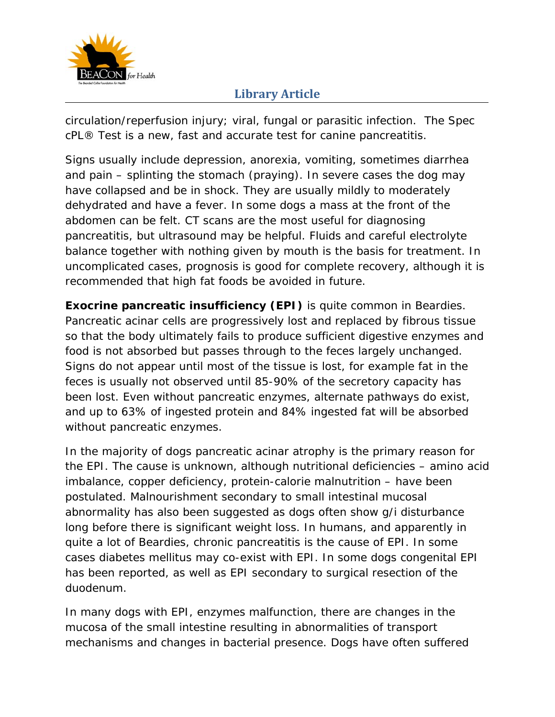

circulation/reperfusion injury; viral, fungal or parasitic infection. The Spec cPL® Test is a new, fast and accurate test for canine pancreatitis.

Signs usually include depression, anorexia, vomiting, sometimes diarrhea and pain – splinting the stomach (praying). In severe cases the dog may have collapsed and be in shock. They are usually mildly to moderately dehydrated and have a fever. In some dogs a mass at the front of the abdomen can be felt. CT scans are the most useful for diagnosing pancreatitis, but ultrasound may be helpful. Fluids and careful electrolyte balance together with nothing given by mouth is the basis for treatment. In uncomplicated cases, prognosis is good for complete recovery, although it is recommended that high fat foods be avoided in future.

**Exocrine pancreatic insufficiency (EPI)** is quite common in Beardies. Pancreatic acinar cells are progressively lost and replaced by fibrous tissue so that the body ultimately fails to produce sufficient digestive enzymes and food is not absorbed but passes through to the feces largely unchanged. Signs do not appear until most of the tissue is lost, for example fat in the feces is usually not observed until 85-90% of the secretory capacity has been lost. Even without pancreatic enzymes, alternate pathways do exist, and up to 63% of ingested protein and 84% ingested fat will be absorbed without pancreatic enzymes.

In the majority of dogs pancreatic acinar atrophy is the primary reason for the EPI. The cause is unknown, although nutritional deficiencies – amino acid imbalance, copper deficiency, protein-calorie malnutrition – have been postulated. Malnourishment secondary to small intestinal mucosal abnormality has also been suggested as dogs often show g/i disturbance long before there is significant weight loss. In humans, and apparently in quite a lot of Beardies, chronic pancreatitis is the cause of EPI. In some cases diabetes mellitus may co-exist with EPI. In some dogs congenital EPI has been reported, as well as EPI secondary to surgical resection of the duodenum.

In many dogs with EPI, enzymes malfunction, there are changes in the mucosa of the small intestine resulting in abnormalities of transport mechanisms and changes in bacterial presence. Dogs have often suffered